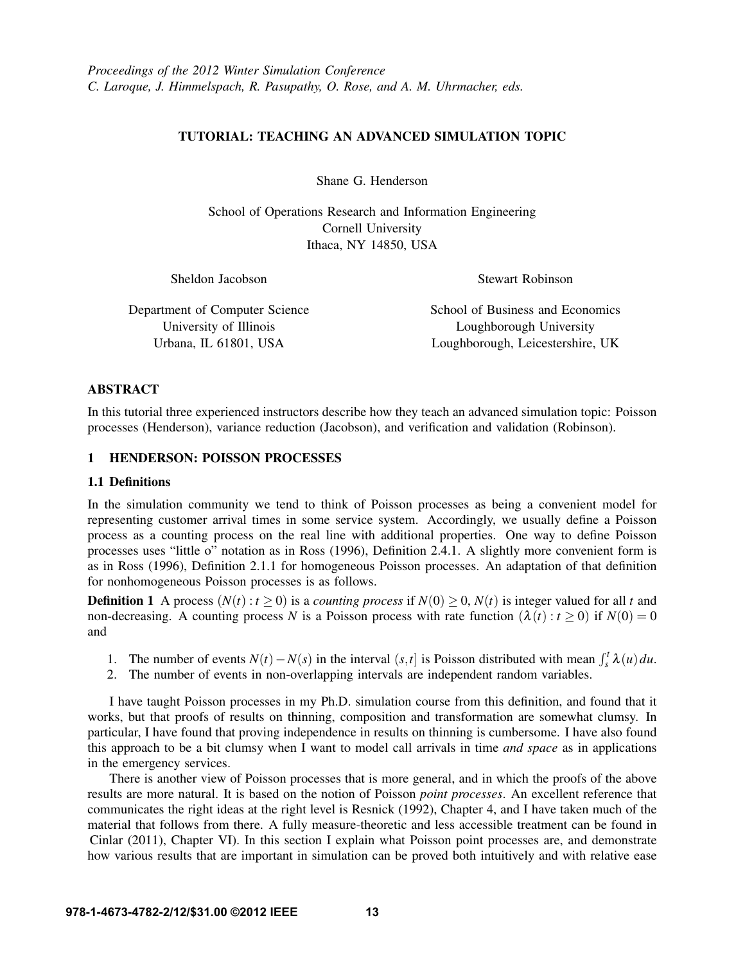## TUTORIAL: TEACHING AN ADVANCED SIMULATION TOPIC

Shane G. Henderson

School of Operations Research and Information Engineering Cornell University Ithaca, NY 14850, USA

Sheldon Jacobson

Stewart Robinson

Department of Computer Science University of Illinois Urbana, IL 61801, USA

School of Business and Economics Loughborough University Loughborough, Leicestershire, UK

## ABSTRACT

In this tutorial three experienced instructors describe how they teach an advanced simulation topic: Poisson processes (Henderson), variance reduction (Jacobson), and verification and validation (Robinson).

# 1 HENDERSON: POISSON PROCESSES

### 1.1 Definitions

In the simulation community we tend to think of Poisson processes as being a convenient model for representing customer arrival times in some service system. Accordingly, we usually define a Poisson process as a counting process on the real line with additional properties. One way to define Poisson processes uses "little o" notation as in Ross (1996), Definition 2.4.1. A slightly more convenient form is as in Ross (1996), Definition 2.1.1 for homogeneous Poisson processes. An adaptation of that definition for nonhomogeneous Poisson processes is as follows.

**Definition 1** A process  $(N(t): t \ge 0)$  is a *counting process* if  $N(0) \ge 0$ ,  $N(t)$  is integer valued for all *t* and non-decreasing. A counting process *N* is a Poisson process with rate function  $(\lambda(t): t > 0)$  if  $N(0) = 0$ and

- 1. The number of events  $N(t) N(s)$  in the interval  $(s, t]$  is Poisson distributed with mean  $\int_s^t \lambda(u) du$ .
- 2. The number of events in non-overlapping intervals are independent random variables.

I have taught Poisson processes in my Ph.D. simulation course from this definition, and found that it works, but that proofs of results on thinning, composition and transformation are somewhat clumsy. In particular, I have found that proving independence in results on thinning is cumbersome. I have also found this approach to be a bit clumsy when I want to model call arrivals in time *and space* as in applications in the emergency services.

There is another view of Poisson processes that is more general, and in which the proofs of the above results are more natural. It is based on the notion of Poisson *point processes*. An excellent reference that communicates the right ideas at the right level is Resnick (1992), Chapter 4, and I have taken much of the material that follows from there. A fully measure-theoretic and less accessible treatment can be found in Cinlar (2011), Chapter VI). In this section I explain what Poisson point processes are, and demonstrate how various results that are important in simulation can be proved both intuitively and with relative ease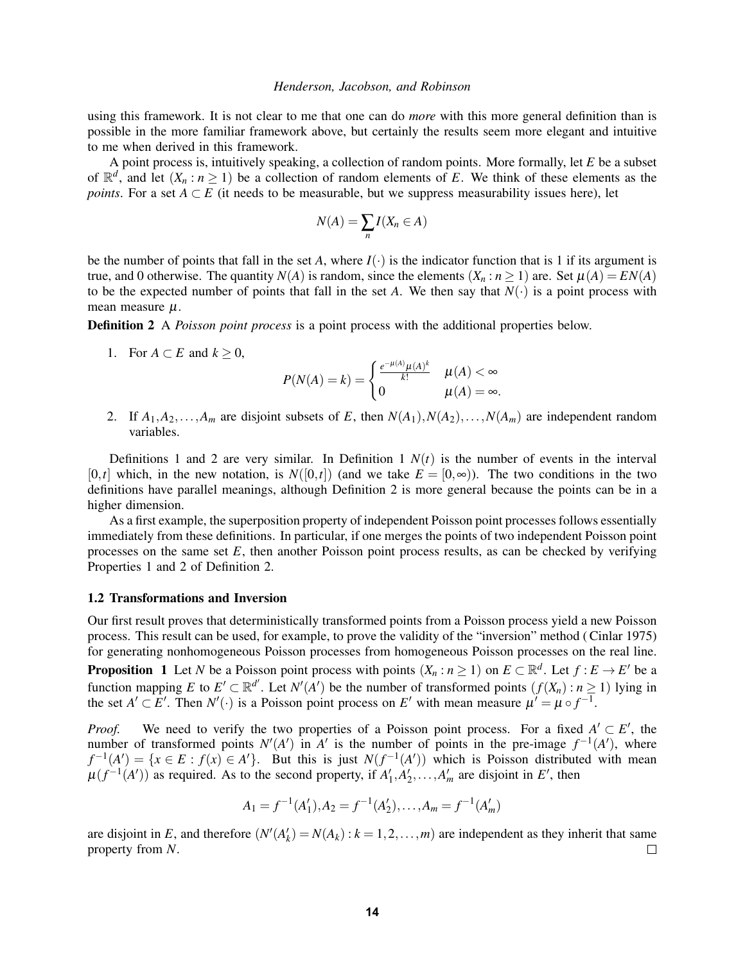using this framework. It is not clear to me that one can do *more* with this more general definition than is possible in the more familiar framework above, but certainly the results seem more elegant and intuitive to me when derived in this framework.

A point process is, intuitively speaking, a collection of random points. More formally, let *E* be a subset of  $\mathbb{R}^d$ , and let  $(X_n : n \ge 1)$  be a collection of random elements of *E*. We think of these elements as the *points*. For a set *A* ⊂ *E* (it needs to be measurable, but we suppress measurability issues here), let

$$
N(A) = \sum_{n} I(X_n \in A)
$$

be the number of points that fall in the set A, where  $I(\cdot)$  is the indicator function that is 1 if its argument is true, and 0 otherwise. The quantity  $N(A)$  is random, since the elements  $(X_n : n \ge 1)$  are. Set  $\mu(A) = EN(A)$ to be the expected number of points that fall in the set *A*. We then say that  $N(\cdot)$  is a point process with mean measure  $\mu$ .

Definition 2 A *Poisson point process* is a point process with the additional properties below.

1. For  $A \subset E$  and  $k \geq 0$ ,

$$
P(N(A) = k) = \begin{cases} \frac{e^{-\mu(A)}\mu(A)^k}{k!} & \mu(A) < \infty \\ 0 & \mu(A) = \infty. \end{cases}
$$

2. If  $A_1, A_2, \ldots, A_m$  are disjoint subsets of *E*, then  $N(A_1), N(A_2), \ldots, N(A_m)$  are independent random variables.

Definitions 1 and 2 are very similar. In Definition 1  $N(t)$  is the number of events in the interval  $[0,t]$  which, in the new notation, is  $N([0,t])$  (and we take  $E = [0,\infty)$ ). The two conditions in the two definitions have parallel meanings, although Definition 2 is more general because the points can be in a higher dimension.

As a first example, the superposition property of independent Poisson point processes follows essentially immediately from these definitions. In particular, if one merges the points of two independent Poisson point processes on the same set *E*, then another Poisson point process results, as can be checked by verifying Properties 1 and 2 of Definition 2.

#### 1.2 Transformations and Inversion

Our first result proves that deterministically transformed points from a Poisson process yield a new Poisson process. This result can be used, for example, to prove the validity of the "inversion" method ( Cinlar 1975) for generating nonhomogeneous Poisson processes from homogeneous Poisson processes on the real line.

**Proposition** 1 Let *N* be a Poisson point process with points  $(X_n : n \ge 1)$  on  $E \subset \mathbb{R}^d$ . Let  $f : E \to E'$  be a function mapping *E* to  $E' \subset \mathbb{R}^{d'}$ . Let  $N'(A')$  be the number of transformed points  $(f(X_n): n \ge 1)$  lying in the set  $A' \subset E'$ . Then  $N'(\cdot)$  is a Poisson point process on  $E'$  with mean measure  $\mu' = \mu \circ f^{-1}$ .

*Proof.* We need to verify the two properties of a Poisson point process. For a fixed  $A' \subset E'$ , the number of transformed points  $N'(A')$  in  $A'$  is the number of points in the pre-image  $f^{-1}(A')$ , where  $f^{-1}(A') = \{x \in E : f(x) \in A'\}$ . But this is just  $N(f^{-1}(A'))$  which is Poisson distributed with mean  $\mu(f^{-1}(A'))$  as required. As to the second property, if  $A'_1, A'_2, \ldots, A'_m$  are disjoint in *E'*, then

$$
A_1 = f^{-1}(A'_1), A_2 = f^{-1}(A'_2), \dots, A_m = f^{-1}(A'_m)
$$

are disjoint in *E*, and therefore  $(N'(A'_k) = N(A_k) : k = 1, 2, ..., m)$  are independent as they inherit that same property from *N*.  $\Box$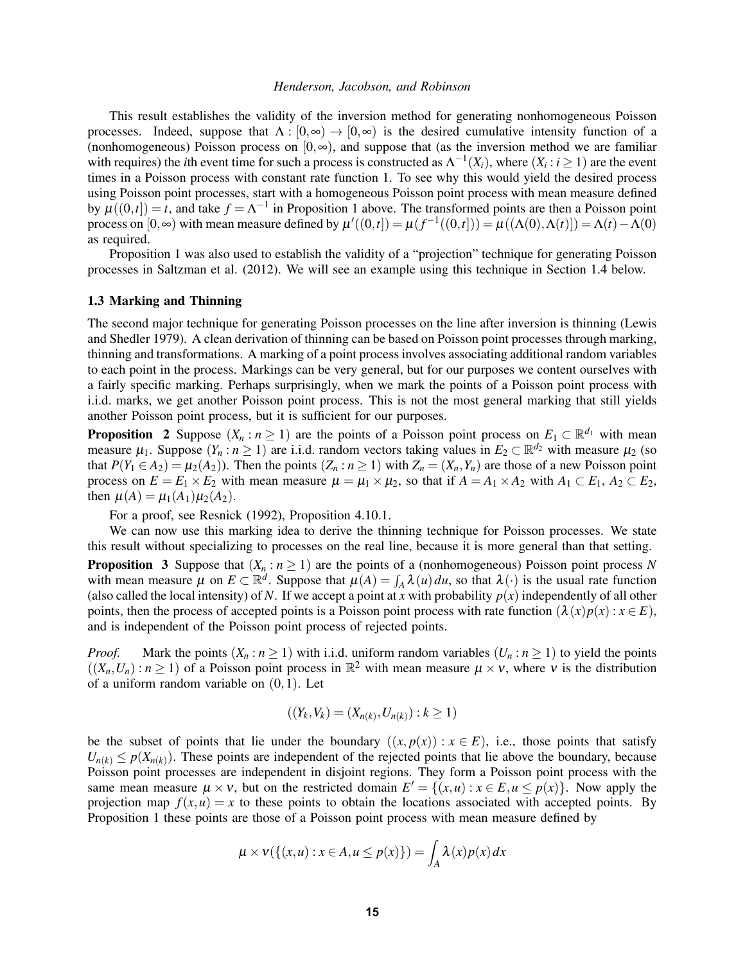This result establishes the validity of the inversion method for generating nonhomogeneous Poisson processes. Indeed, suppose that  $\Lambda : [0, \infty) \to [0, \infty)$  is the desired cumulative intensity function of a (nonhomogeneous) Poisson process on  $[0, \infty)$ , and suppose that (as the inversion method we are familiar with requires) the *i*th event time for such a process is constructed as  $\Lambda^{-1}(X_i)$ , where  $(X_i : i \ge 1)$  are the event times in a Poisson process with constant rate function 1. To see why this would yield the desired process using Poisson point processes, start with a homogeneous Poisson point process with mean measure defined by  $\mu((0,t]) = t$ , and take  $f = \Lambda^{-1}$  in Proposition 1 above. The transformed points are then a Poisson point process on  $[0, \infty)$  with mean measure defined by  $\mu'((0,t]) = \mu(f^{-1}((0,t])) = \mu((\Lambda(0), \Lambda(t))] = \Lambda(t) - \Lambda(0)$ as required.

Proposition 1 was also used to establish the validity of a "projection" technique for generating Poisson processes in Saltzman et al. (2012). We will see an example using this technique in Section 1.4 below.

### 1.3 Marking and Thinning

The second major technique for generating Poisson processes on the line after inversion is thinning (Lewis and Shedler 1979). A clean derivation of thinning can be based on Poisson point processes through marking, thinning and transformations. A marking of a point process involves associating additional random variables to each point in the process. Markings can be very general, but for our purposes we content ourselves with a fairly specific marking. Perhaps surprisingly, when we mark the points of a Poisson point process with i.i.d. marks, we get another Poisson point process. This is not the most general marking that still yields another Poisson point process, but it is sufficient for our purposes.

**Proposition** 2 Suppose  $(X_n : n \ge 1)$  are the points of a Poisson point process on  $E_1 \subset \mathbb{R}^{d_1}$  with mean measure  $\mu_1$ . Suppose  $(Y_n : n \ge 1)$  are i.i.d. random vectors taking values in  $E_2 \subset \mathbb{R}^{d_2}$  with measure  $\mu_2$  (so that  $P(Y_1 \in A_2) = \mu_2(A_2)$ ). Then the points  $(Z_n : n \ge 1)$  with  $Z_n = (X_n, Y_n)$  are those of a new Poisson point process on  $E = E_1 \times E_2$  with mean measure  $\mu = \mu_1 \times \mu_2$ , so that if  $A = A_1 \times A_2$  with  $A_1 \subset E_1$ ,  $A_2 \subset E_2$ , then  $\mu(A) = \mu_1(A_1)\mu_2(A_2)$ .

For a proof, see Resnick (1992), Proposition 4.10.1.

We can now use this marking idea to derive the thinning technique for Poisson processes. We state this result without specializing to processes on the real line, because it is more general than that setting.

**Proposition 3** Suppose that  $(X_n : n \ge 1)$  are the points of a (nonhomogeneous) Poisson point process N with mean measure  $\mu$  on  $E \subset \mathbb{R}^d$ . Suppose that  $\mu(A) = \int_A \lambda(u) du$ , so that  $\lambda(\cdot)$  is the usual rate function (also called the local intensity) of *N*. If we accept a point at *x* with probability  $p(x)$  independently of all other points, then the process of accepted points is a Poisson point process with rate function  $(\lambda(x)p(x): x \in E)$ , and is independent of the Poisson point process of rejected points.

*Proof.* Mark the points  $(X_n : n \ge 1)$  with i.i.d. uniform random variables  $(U_n : n \ge 1)$  to yield the points  $((X_n, U_n) : n \ge 1)$  of a Poisson point process in  $\mathbb{R}^2$  with mean measure  $\mu \times \nu$ , where  $\nu$  is the distribution of a uniform random variable on (0,1). Let

$$
((Y_k, V_k) = (X_{n(k)}, U_{n(k)}): k \ge 1)
$$

be the subset of points that lie under the boundary  $((x, p(x)) : x \in E)$ , i.e., those points that satisfy  $U_{n(k)} \leq p(X_{n(k)})$ . These points are independent of the rejected points that lie above the boundary, because Poisson point processes are independent in disjoint regions. They form a Poisson point process with the same mean measure  $\mu \times \nu$ , but on the restricted domain  $E' = \{(x, u) : x \in E, u \leq p(x)\}\)$ . Now apply the projection map  $f(x, u) = x$  to these points to obtain the locations associated with accepted points. By Proposition 1 these points are those of a Poisson point process with mean measure defined by

$$
\mu \times \nu(\{(x, u) : x \in A, u \le p(x)\}) = \int_A \lambda(x) p(x) dx
$$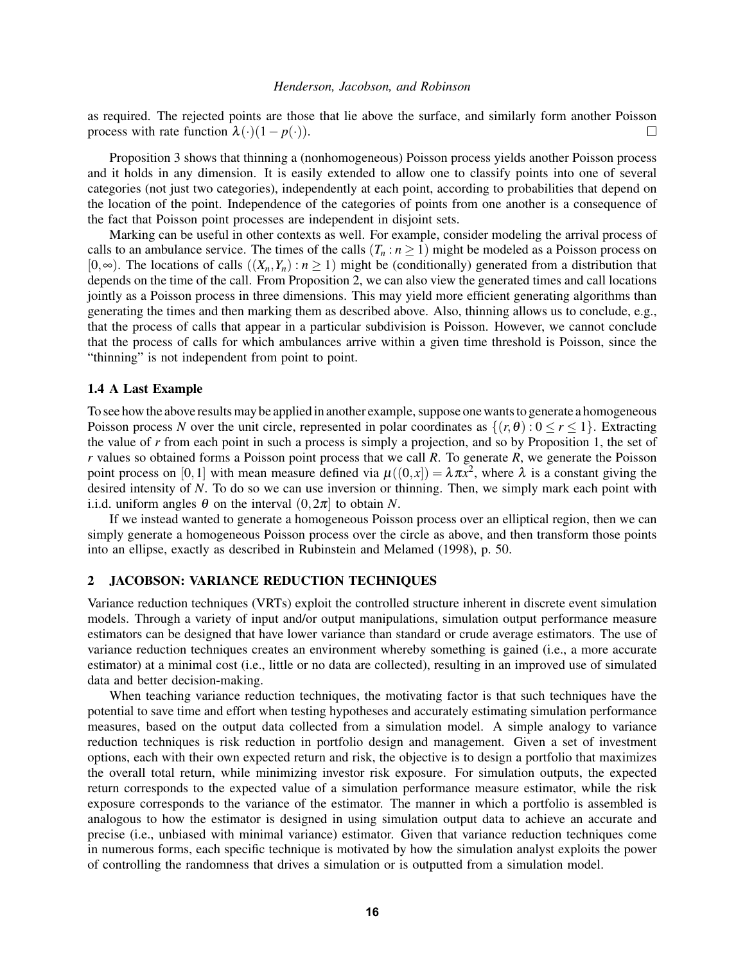as required. The rejected points are those that lie above the surface, and similarly form another Poisson process with rate function  $\lambda(\cdot)(1-p(\cdot))$ .  $\Box$ 

Proposition 3 shows that thinning a (nonhomogeneous) Poisson process yields another Poisson process and it holds in any dimension. It is easily extended to allow one to classify points into one of several categories (not just two categories), independently at each point, according to probabilities that depend on the location of the point. Independence of the categories of points from one another is a consequence of the fact that Poisson point processes are independent in disjoint sets.

Marking can be useful in other contexts as well. For example, consider modeling the arrival process of calls to an ambulance service. The times of the calls  $(T_n : n \ge 1)$  might be modeled as a Poisson process on [0,∞). The locations of calls  $((X_n, Y_n) : n \ge 1)$  might be (conditionally) generated from a distribution that depends on the time of the call. From Proposition 2, we can also view the generated times and call locations jointly as a Poisson process in three dimensions. This may yield more efficient generating algorithms than generating the times and then marking them as described above. Also, thinning allows us to conclude, e.g., that the process of calls that appear in a particular subdivision is Poisson. However, we cannot conclude that the process of calls for which ambulances arrive within a given time threshold is Poisson, since the "thinning" is not independent from point to point.

### 1.4 A Last Example

To see how the above results may be applied in another example, suppose one wants to generate a homogeneous Poisson process *N* over the unit circle, represented in polar coordinates as  $\{(r, \theta): 0 \le r \le 1\}$ . Extracting the value of *r* from each point in such a process is simply a projection, and so by Proposition 1, the set of *r* values so obtained forms a Poisson point process that we call *R*. To generate *R*, we generate the Poisson point process on [0,1] with mean measure defined via  $\mu((0, x]) = \lambda \pi x^2$ , where  $\lambda$  is a constant giving the desired intensity of *N*. To do so we can use inversion or thinning. Then, we simply mark each point with i.i.d. uniform angles  $\theta$  on the interval  $(0, 2\pi]$  to obtain *N*.

If we instead wanted to generate a homogeneous Poisson process over an elliptical region, then we can simply generate a homogeneous Poisson process over the circle as above, and then transform those points into an ellipse, exactly as described in Rubinstein and Melamed (1998), p. 50.

# 2 JACOBSON: VARIANCE REDUCTION TECHNIQUES

Variance reduction techniques (VRTs) exploit the controlled structure inherent in discrete event simulation models. Through a variety of input and/or output manipulations, simulation output performance measure estimators can be designed that have lower variance than standard or crude average estimators. The use of variance reduction techniques creates an environment whereby something is gained (i.e., a more accurate estimator) at a minimal cost (i.e., little or no data are collected), resulting in an improved use of simulated data and better decision-making.

When teaching variance reduction techniques, the motivating factor is that such techniques have the potential to save time and effort when testing hypotheses and accurately estimating simulation performance measures, based on the output data collected from a simulation model. A simple analogy to variance reduction techniques is risk reduction in portfolio design and management. Given a set of investment options, each with their own expected return and risk, the objective is to design a portfolio that maximizes the overall total return, while minimizing investor risk exposure. For simulation outputs, the expected return corresponds to the expected value of a simulation performance measure estimator, while the risk exposure corresponds to the variance of the estimator. The manner in which a portfolio is assembled is analogous to how the estimator is designed in using simulation output data to achieve an accurate and precise (i.e., unbiased with minimal variance) estimator. Given that variance reduction techniques come in numerous forms, each specific technique is motivated by how the simulation analyst exploits the power of controlling the randomness that drives a simulation or is outputted from a simulation model.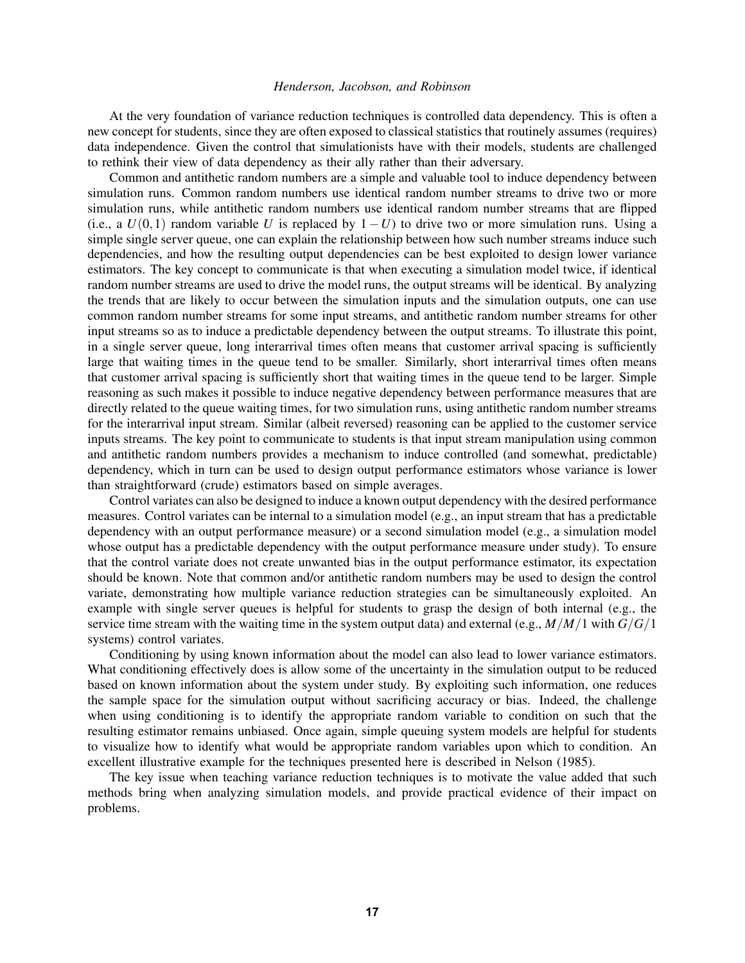At the very foundation of variance reduction techniques is controlled data dependency. This is often a new concept for students, since they are often exposed to classical statistics that routinely assumes (requires) data independence. Given the control that simulationists have with their models, students are challenged to rethink their view of data dependency as their ally rather than their adversary.

Common and antithetic random numbers are a simple and valuable tool to induce dependency between simulation runs. Common random numbers use identical random number streams to drive two or more simulation runs, while antithetic random numbers use identical random number streams that are flipped (i.e., a  $U(0,1)$  random variable *U* is replaced by  $1-U$ ) to drive two or more simulation runs. Using a simple single server queue, one can explain the relationship between how such number streams induce such dependencies, and how the resulting output dependencies can be best exploited to design lower variance estimators. The key concept to communicate is that when executing a simulation model twice, if identical random number streams are used to drive the model runs, the output streams will be identical. By analyzing the trends that are likely to occur between the simulation inputs and the simulation outputs, one can use common random number streams for some input streams, and antithetic random number streams for other input streams so as to induce a predictable dependency between the output streams. To illustrate this point, in a single server queue, long interarrival times often means that customer arrival spacing is sufficiently large that waiting times in the queue tend to be smaller. Similarly, short interarrival times often means that customer arrival spacing is sufficiently short that waiting times in the queue tend to be larger. Simple reasoning as such makes it possible to induce negative dependency between performance measures that are directly related to the queue waiting times, for two simulation runs, using antithetic random number streams for the interarrival input stream. Similar (albeit reversed) reasoning can be applied to the customer service inputs streams. The key point to communicate to students is that input stream manipulation using common and antithetic random numbers provides a mechanism to induce controlled (and somewhat, predictable) dependency, which in turn can be used to design output performance estimators whose variance is lower than straightforward (crude) estimators based on simple averages.

Control variates can also be designed to induce a known output dependency with the desired performance measures. Control variates can be internal to a simulation model (e.g., an input stream that has a predictable dependency with an output performance measure) or a second simulation model (e.g., a simulation model whose output has a predictable dependency with the output performance measure under study). To ensure that the control variate does not create unwanted bias in the output performance estimator, its expectation should be known. Note that common and/or antithetic random numbers may be used to design the control variate, demonstrating how multiple variance reduction strategies can be simultaneously exploited. An example with single server queues is helpful for students to grasp the design of both internal (e.g., the service time stream with the waiting time in the system output data) and external (e.g., *M*/*M*/1 with *G*/*G*/1 systems) control variates.

Conditioning by using known information about the model can also lead to lower variance estimators. What conditioning effectively does is allow some of the uncertainty in the simulation output to be reduced based on known information about the system under study. By exploiting such information, one reduces the sample space for the simulation output without sacrificing accuracy or bias. Indeed, the challenge when using conditioning is to identify the appropriate random variable to condition on such that the resulting estimator remains unbiased. Once again, simple queuing system models are helpful for students to visualize how to identify what would be appropriate random variables upon which to condition. An excellent illustrative example for the techniques presented here is described in Nelson (1985).

The key issue when teaching variance reduction techniques is to motivate the value added that such methods bring when analyzing simulation models, and provide practical evidence of their impact on problems.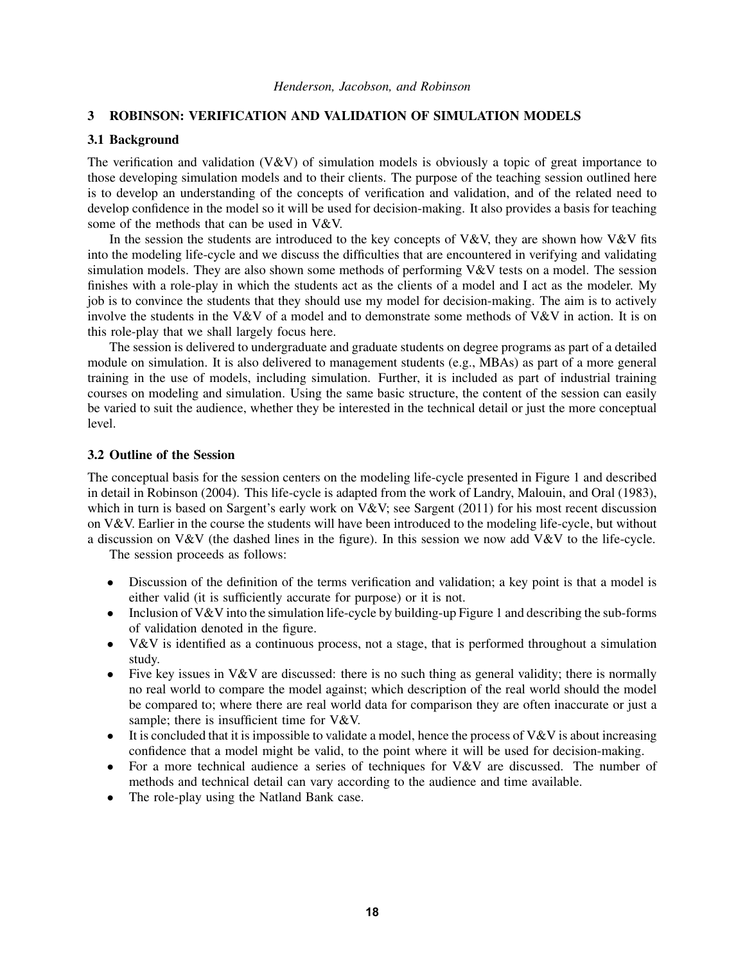## 3 ROBINSON: VERIFICATION AND VALIDATION OF SIMULATION MODELS

# 3.1 Background

The verification and validation  $(V&V)$  of simulation models is obviously a topic of great importance to those developing simulation models and to their clients. The purpose of the teaching session outlined here is to develop an understanding of the concepts of verification and validation, and of the related need to develop confidence in the model so it will be used for decision-making. It also provides a basis for teaching some of the methods that can be used in V&V.

In the session the students are introduced to the key concepts of  $V\&V$ , they are shown how  $V\&V$  fits into the modeling life-cycle and we discuss the difficulties that are encountered in verifying and validating simulation models. They are also shown some methods of performing  $V&V$  tests on a model. The session finishes with a role-play in which the students act as the clients of a model and I act as the modeler. My job is to convince the students that they should use my model for decision-making. The aim is to actively involve the students in the V&V of a model and to demonstrate some methods of V&V in action. It is on this role-play that we shall largely focus here.

The session is delivered to undergraduate and graduate students on degree programs as part of a detailed module on simulation. It is also delivered to management students (e.g., MBAs) as part of a more general training in the use of models, including simulation. Further, it is included as part of industrial training courses on modeling and simulation. Using the same basic structure, the content of the session can easily be varied to suit the audience, whether they be interested in the technical detail or just the more conceptual level.

## 3.2 Outline of the Session

The conceptual basis for the session centers on the modeling life-cycle presented in Figure 1 and described in detail in Robinson (2004). This life-cycle is adapted from the work of Landry, Malouin, and Oral (1983), which in turn is based on Sargent's early work on V&V; see Sargent (2011) for his most recent discussion on V&V. Earlier in the course the students will have been introduced to the modeling life-cycle, but without a discussion on V&V (the dashed lines in the figure). In this session we now add V&V to the life-cycle.

The session proceeds as follows:

- Discussion of the definition of the terms verification and validation; a key point is that a model is either valid (it is sufficiently accurate for purpose) or it is not.
- Inclusion of  $V&V$  into the simulation life-cycle by building-up Figure 1 and describing the sub-forms of validation denoted in the figure.
- V&V is identified as a continuous process, not a stage, that is performed throughout a simulation study.
- Five key issues in V&V are discussed: there is no such thing as general validity; there is normally no real world to compare the model against; which description of the real world should the model be compared to; where there are real world data for comparison they are often inaccurate or just a sample; there is insufficient time for V&V.
- It is concluded that it is impossible to validate a model, hence the process of  $V&V$  is about increasing confidence that a model might be valid, to the point where it will be used for decision-making.
- For a more technical audience a series of techniques for V&V are discussed. The number of methods and technical detail can vary according to the audience and time available.
- The role-play using the Natland Bank case.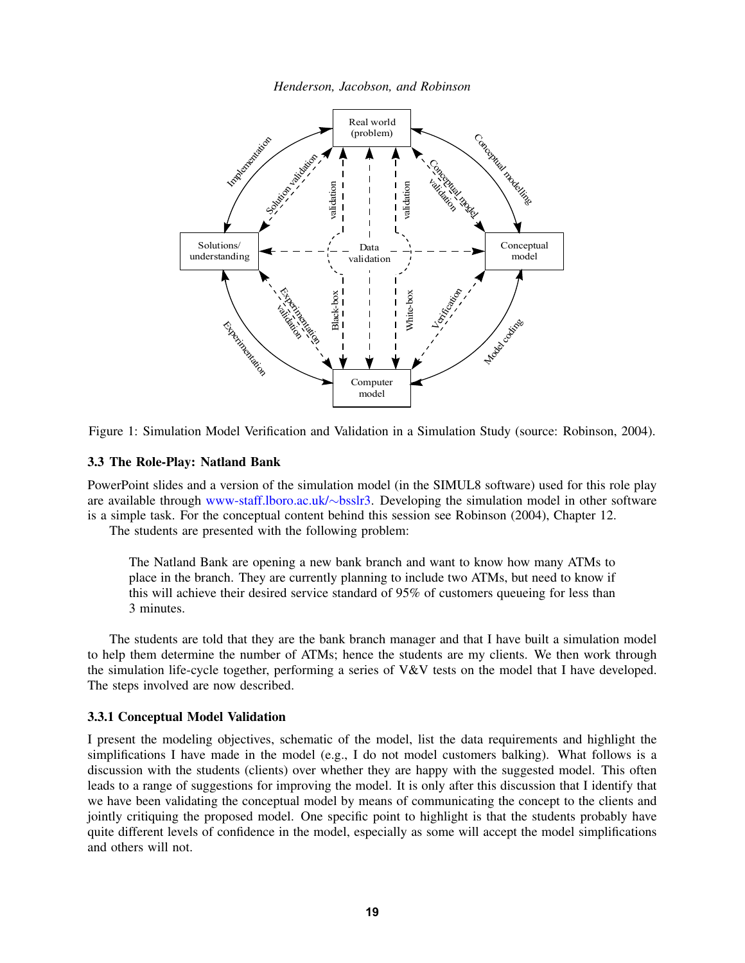





### 3.3 The Role-Play: Natland Bank

PowerPoint slides and a version of the simulation model (in the SIMUL8 software) used for this role play are available through www-staff.lboro.ac.uk/∼bsslr3. Developing the simulation model in other software is a simple task. For the conceptual content behind this session see Robinson (2004), Chapter 12.

The students are presented with the following problem:

The Natland Bank are opening a new bank branch and want to know how many ATMs to place in the branch. They are currently planning to include two ATMs, but need to know if this will achieve their desired service standard of 95% of customers queueing for less than 3 minutes.

The students are told that they are the bank branch manager and that I have built a simulation model to help them determine the number of ATMs; hence the students are my clients. We then work through the simulation life-cycle together, performing a series of V&V tests on the model that I have developed. The steps involved are now described.

#### 3.3.1 Conceptual Model Validation

I present the modeling objectives, schematic of the model, list the data requirements and highlight the simplifications I have made in the model (e.g., I do not model customers balking). What follows is a discussion with the students (clients) over whether they are happy with the suggested model. This often leads to a range of suggestions for improving the model. It is only after this discussion that I identify that we have been validating the conceptual model by means of communicating the concept to the clients and jointly critiquing the proposed model. One specific point to highlight is that the students probably have quite different levels of confidence in the model, especially as some will accept the model simplifications and others will not.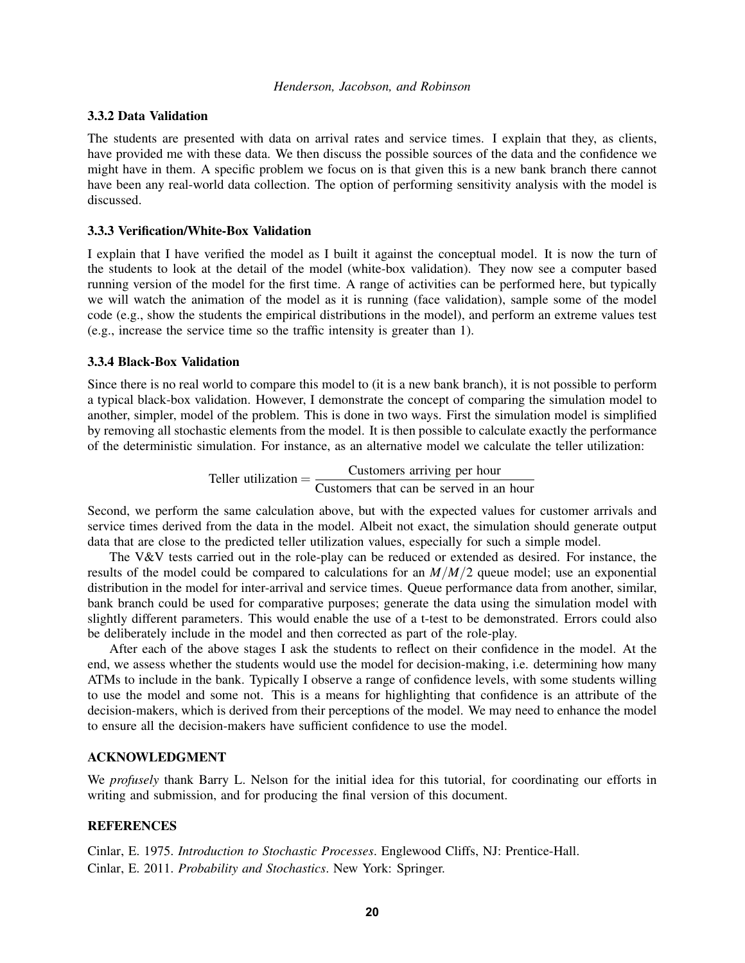## 3.3.2 Data Validation

The students are presented with data on arrival rates and service times. I explain that they, as clients, have provided me with these data. We then discuss the possible sources of the data and the confidence we might have in them. A specific problem we focus on is that given this is a new bank branch there cannot have been any real-world data collection. The option of performing sensitivity analysis with the model is discussed.

## 3.3.3 Verification/White-Box Validation

I explain that I have verified the model as I built it against the conceptual model. It is now the turn of the students to look at the detail of the model (white-box validation). They now see a computer based running version of the model for the first time. A range of activities can be performed here, but typically we will watch the animation of the model as it is running (face validation), sample some of the model code (e.g., show the students the empirical distributions in the model), and perform an extreme values test (e.g., increase the service time so the traffic intensity is greater than 1).

## 3.3.4 Black-Box Validation

Since there is no real world to compare this model to (it is a new bank branch), it is not possible to perform a typical black-box validation. However, I demonstrate the concept of comparing the simulation model to another, simpler, model of the problem. This is done in two ways. First the simulation model is simplified by removing all stochastic elements from the model. It is then possible to calculate exactly the performance of the deterministic simulation. For instance, as an alternative model we calculate the teller utilization:

> Teller utilization  $=$  Customers arriving per hour Customers that can be served in an hour

Second, we perform the same calculation above, but with the expected values for customer arrivals and service times derived from the data in the model. Albeit not exact, the simulation should generate output data that are close to the predicted teller utilization values, especially for such a simple model.

The V&V tests carried out in the role-play can be reduced or extended as desired. For instance, the results of the model could be compared to calculations for an *M*/*M*/2 queue model; use an exponential distribution in the model for inter-arrival and service times. Queue performance data from another, similar, bank branch could be used for comparative purposes; generate the data using the simulation model with slightly different parameters. This would enable the use of a t-test to be demonstrated. Errors could also be deliberately include in the model and then corrected as part of the role-play.

After each of the above stages I ask the students to reflect on their confidence in the model. At the end, we assess whether the students would use the model for decision-making, i.e. determining how many ATMs to include in the bank. Typically I observe a range of confidence levels, with some students willing to use the model and some not. This is a means for highlighting that confidence is an attribute of the decision-makers, which is derived from their perceptions of the model. We may need to enhance the model to ensure all the decision-makers have sufficient confidence to use the model.

## ACKNOWLEDGMENT

We *profusely* thank Barry L. Nelson for the initial idea for this tutorial, for coordinating our efforts in writing and submission, and for producing the final version of this document.

# REFERENCES

Cinlar, E. 1975. *Introduction to Stochastic Processes*. Englewood Cliffs, NJ: Prentice-Hall. Cinlar, E. 2011. *Probability and Stochastics*. New York: Springer.